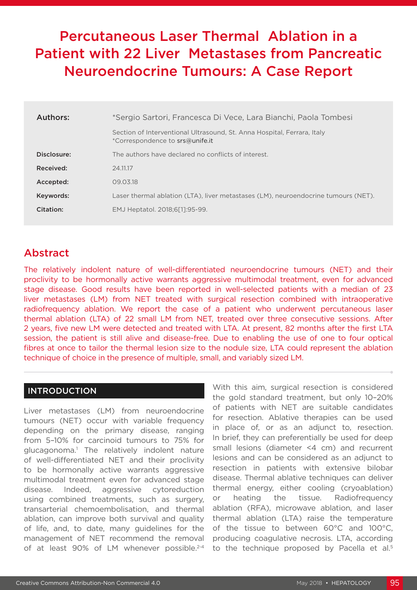# Percutaneous Laser Thermal Ablation in a Patient with 22 Liver Metastases from Pancreatic Neuroendocrine Tumours: A Case Report

| Authors:    | *Sergio Sartori, Francesca Di Vece, Lara Bianchi, Paola Tombesi                                            |
|-------------|------------------------------------------------------------------------------------------------------------|
|             | Section of Interventional Ultrasound, St. Anna Hospital, Ferrara, Italy<br>*Correspondence to srs@unife.it |
| Disclosure: | The authors have declared no conflicts of interest.                                                        |
| Received:   | 24.11.17                                                                                                   |
| Accepted:   | 09.03.18                                                                                                   |
| Keywords:   | Laser thermal ablation (LTA), liver metastases (LM), neuroendocrine tumours (NET).                         |
| Citation:   | EMJ Heptatol. 2018;6[1]:95-99.                                                                             |
|             |                                                                                                            |

## Abstract

The relatively indolent nature of well-differentiated neuroendocrine tumours (NET) and their proclivity to be hormonally active warrants aggressive multimodal treatment, even for advanced stage disease. Good results have been reported in well-selected patients with a median of 23 liver metastases (LM) from NET treated with surgical resection combined with intraoperative radiofrequency ablation. We report the case of a patient who underwent percutaneous laser thermal ablation (LTA) of 22 small LM from NET, treated over three consecutive sessions. After 2 years, five new LM were detected and treated with LTA. At present, 82 months after the first LTA session, the patient is still alive and disease-free. Due to enabling the use of one to four optical fibres at once to tailor the thermal lesion size to the nodule size, LTA could represent the ablation technique of choice in the presence of multiple, small, and variably sized LM.

### INTRODUCTION

Liver metastases (LM) from neuroendocrine tumours (NET) occur with variable frequency depending on the primary disease, ranging from 5–10% for carcinoid tumours to 75% for glucagonoma.1 The relatively indolent nature of well-differentiated NET and their proclivity to be hormonally active warrants aggressive multimodal treatment even for advanced stage disease. Indeed, aggressive cytoreduction using combined treatments, such as surgery, transarterial chemoembolisation, and thermal ablation, can improve both survival and quality of life, and, to date, many guidelines for the management of NET recommend the removal of at least 90% of LM whenever possible.<sup>2-4</sup>

With this aim, surgical resection is considered the gold standard treatment, but only 10–20% of patients with NET are suitable candidates for resection. Ablative therapies can be used in place of, or as an adjunct to, resection. In brief, they can preferentially be used for deep small lesions (diameter <4 cm) and recurrent lesions and can be considered as an adjunct to resection in patients with extensive bilobar disease. Thermal ablative techniques can deliver thermal energy, either cooling (cryoablation) or heating the tissue. Radiofrequency ablation (RFA), microwave ablation, and laser thermal ablation (LTA) raise the temperature of the tissue to between 60°C and 100°C, producing coagulative necrosis. LTA, according to the technique proposed by Pacella et al.<sup>5</sup>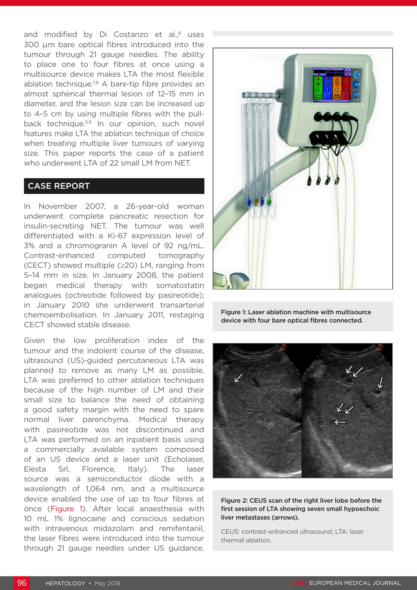and modified by Di Costanzo et al.,<sup>6</sup> uses 300 µm bare optical fibres introduced into the tumour through 21 gauge needles. The ability to place one to four fibres at once using a multisource device makes LTA the most flexible ablation technique.<sup>7,8</sup> A bare-tip fibre provides an almost spherical thermal lesion of 12–15 mm in diameter, and the lesion size can be increased up to 4–5 cm by using multiple fibres with the pullback technique.<sup>5,6</sup> In our opinion, such novel features make LTA the ablation technique of choice when treating multiple liver tumours of varying size. This paper reports the case of a patient who underwent LTA of 22 small LM from NET.

#### CASE REPORT

In November 2007, a 26-year-old woman underwent complete pancreatic resection for insulin-secreting NET. The tumour was well differentiated with a Ki-67 expression level of 3% and a chromogranin A level of 92 ng/mL. Contrast-enhanced computed tomography (CECT) showed multiple (≥20) LM, ranging from 5–14 mm in size. In January 2008, the patient began medical therapy with somatostatin analogues (octreotide followed by pasireotide); in January 2010 she underwent transarterial chemoembolisation. In January 2011, restaging CECT showed stable disease.

Given the low proliferation index of the tumour and the indolent course of the disease, ultrasound (US)-guided percutaneous LTA was planned to remove as many LM as possible. LTA was preferred to other ablation techniques because of the high number of LM and their small size to balance the need of obtaining a good safety margin with the need to spare normal liver parenchyma. Medical therapy with pasireotide was not discontinued and LTA was performed on an inpatient basis using a commercially available system composed of an US device and a laser unit (Echolaser, Elesta Srl, Florence, Italy). The laser source was a semiconductor diode with a wavelength of 1,064 nm, and a multisource device enabled the use of up to four fibres at once (Figure 1). After local anaesthesia with 10 mL 1% lignocaine and conscious sedation with intravenous midazolam and remifentanil. the laser fibres were introduced into the tumour through 21 gauge needles under US guidance.







Figure 2: CEUS scan of the right liver lobe before the first session of LTA showing seven small hypoechoic liver metastases (arrows).

CEUS: contrast-enhanced ultrasound; LTA: laser thermal ablation.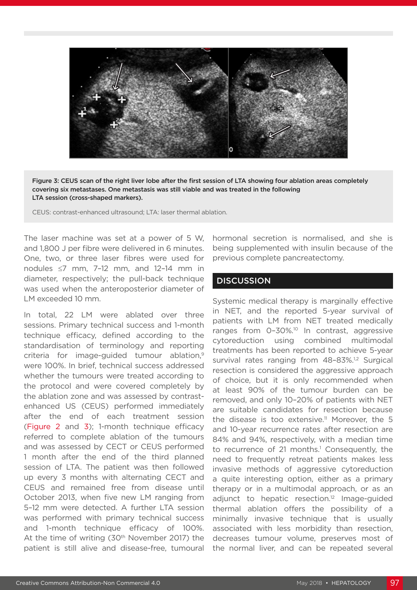

Figure 3: CEUS scan of the right liver lobe after the first session of LTA showing four ablation areas completely covering six metastases. One metastasis was still viable and was treated in the following LTA session (cross-shaped markers).

CEUS: contrast-enhanced ultrasound; LTA: laser thermal ablation.

The laser machine was set at a power of 5 W, and 1,800 J per fibre were delivered in 6 minutes. One, two, or three laser fibres were used for nodules ≤7 mm, 7–12 mm, and 12–14 mm in diameter, respectively; the pull-back technique was used when the anteroposterior diameter of LM exceeded 10 mm.

In total, 22 LM were ablated over three sessions. Primary technical success and 1-month technique efficacy, defined according to the standardisation of terminology and reporting criteria for image-guided tumour ablation,<sup>9</sup> were 100%. In brief, technical success addressed whether the tumours were treated according to the protocol and were covered completely by the ablation zone and was assessed by contrastenhanced US (CEUS) performed immediately after the end of each treatment session (Figure 2 and 3); 1-month technique efficacy referred to complete ablation of the tumours and was assessed by CECT or CEUS performed 1 month after the end of the third planned session of LTA. The patient was then followed up every 3 months with alternating CECT and CEUS and remained free from disease until October 2013, when five new LM ranging from 5–12 mm were detected. A further LTA session was performed with primary technical success and 1-month technique efficacy of 100%. At the time of writing (30<sup>th</sup> November 2017) the patient is still alive and disease-free, tumoural hormonal secretion is normalised, and she is being supplemented with insulin because of the previous complete pancreatectomy.

#### **DISCUSSION**

Systemic medical therapy is marginally effective in NET, and the reported 5-year survival of patients with LM from NET treated medically ranges from 0-30%.<sup>10</sup> In contrast, aggressive cytoreduction using combined multimodal treatments has been reported to achieve 5-year survival rates ranging from 48-83%.<sup>1,2</sup> Surgical resection is considered the aggressive approach of choice, but it is only recommended when at least 90% of the tumour burden can be removed, and only 10–20% of patients with NET are suitable candidates for resection because the disease is too extensive.<sup>11</sup> Moreover, the 5 and 10-year recurrence rates after resection are 84% and 94%, respectively, with a median time to recurrence of 21 months.<sup>1</sup> Consequently, the need to frequently retreat patients makes less invasive methods of aggressive cytoreduction a quite interesting option, either as a primary therapy or in a multimodal approach, or as an adjunct to hepatic resection.<sup>12</sup> Image-guided thermal ablation offers the possibility of a minimally invasive technique that is usually associated with less morbidity than resection, decreases tumour volume, preserves most of the normal liver, and can be repeated several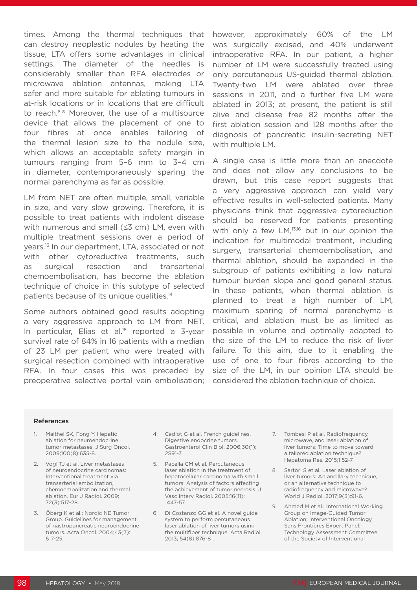times. Among the thermal techniques that can destroy neoplastic nodules by heating the tissue, LTA offers some advantages in clinical settings. The diameter of the needles is considerably smaller than RFA electrodes or microwave ablation antennas, making LTA safer and more suitable for ablating tumours in at-risk locations or in locations that are difficult to reach.6-8 Moreover, the use of a multisource device that allows the placement of one to four fibres at once enables tailoring of the thermal lesion size to the nodule size, which allows an acceptable safety margin in tumours ranging from 5–6 mm to 3–4 cm in diameter, contemporaneously sparing the normal parenchyma as far as possible.

LM from NET are often multiple, small, variable in size, and very slow growing. Therefore, it is possible to treat patients with indolent disease with numerous and small (≤3 cm) LM, even with multiple treatment sessions over a period of years.13 In our department, LTA, associated or not with other cytoreductive treatments, such as surgical resection and transarterial chemoembolisation, has become the ablation technique of choice in this subtype of selected patients because of its unique qualities.<sup>14</sup>

Some authors obtained good results adopting a very aggressive approach to LM from NET. In particular, Elias et al.<sup>15</sup> reported a 3-year survival rate of 84% in 16 patients with a median of 23 LM per patient who were treated with surgical resection combined with intraoperative RFA. In four cases this was preceded by preoperative selective portal vein embolisation; however, approximately 60% of the LM was surgically excised, and 40% underwent intraoperative RFA. In our patient, a higher number of LM were successfully treated using only percutaneous US-guided thermal ablation. Twenty-two LM were ablated over three sessions in 2011, and a further five LM were ablated in 2013; at present, the patient is still alive and disease free 82 months after the first ablation session and 128 months after the diagnosis of pancreatic insulin-secreting NET with multiple LM.

A single case is little more than an anecdote and does not allow any conclusions to be drawn, but this case report suggests that a very aggressive approach can yield very effective results in well-selected patients. Many physicians think that aggressive cytoreduction should be reserved for patients presenting with only a few LM,<sup>13,16</sup> but in our opinion the indication for multimodal treatment, including surgery, transarterial chemoembolisation, and thermal ablation, should be expanded in the subgroup of patients exhibiting a low natural tumour burden slope and good general status. In these patients, when thermal ablation is planned to treat a high number of LM, maximum sparing of normal parenchyma is critical, and ablation must be as limited as possible in volume and optimally adapted to the size of the LM to reduce the risk of liver failure. To this aim, due to it enabling the use of one to four fibres according to the size of the LM, in our opinion LTA should be considered the ablation technique of choice.

#### References

- 1. Maithel SK, Fong Y. Hepatic ablation for neuroendocrine tumor metastases. J Surg Oncol. 2009;100(8):635-8.
- 2. Vogl TJ et al. Liver metastases of neuroendocrine carcinomas: Interventional treatment via transarterial embolization, chemoembolization and thermal ablation. Eur J Radiol. 2009; 72(3):517-28.
- 3. Öberg K et al.; Nordic NE Tumor Group. Guidelines for management of gastropancreatic neuroendocrine tumors. Acta Oncol. 2004;43(7): 617-25.
- 4. Cadiot G et al. French guidelines. Digestive endocrine tumors. Gastroenterol Clin Biol. 2006;30(1): 2S91-7.
- 5. Pacella CM et al. Percutaneous laser ablation in the treatment of hepatocellular carcinoma with small tumors: Analysis of factors affecting the achievement of tumor necrosis. J Vasc Interv Radiol. 2005;16(11): 1447-57.
- 6. Di Costanzo GG et al. A novel guide system to perform percutaneous laser ablation of liver tumors using the multifiber technique. Acta Radiol. 2013; 54(8):876-81.
- 7. Tombesi P et al. Radiofrequency, microwave, and laser ablation of liver tumors: Time to move toward a tailored ablation technique? Hepatoma Res. 2015;1:52-7.
- 8. Sartori S et al. Laser ablation of liver tumors: An ancillary technique, or an alternative technique to radiofrequency and microwave? World J Radiol. 2017;9(3):91-6.
- 9. Ahmed M et al.; International Working Group on Image-Guided Tumor Ablation; Interventional Oncology Sans Frontières Expert Panel; Technology Assessment Committee of the Society of Interventional